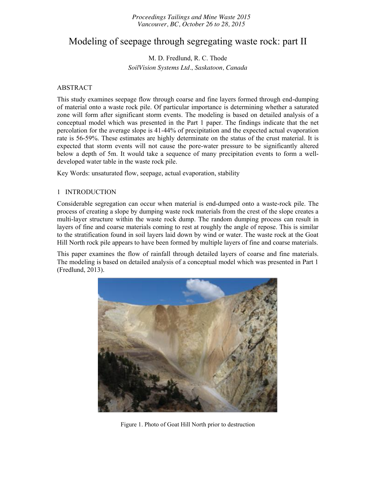# Modeling of seepage through segregating waste rock: part II

M. D. Fredlund, R. C. Thode

*SoilVision Systems Ltd., Saskatoon, Canada*

# ABSTRACT

This study examines seepage flow through coarse and fine layers formed through end-dumping of material onto a waste rock pile. Of particular importance is determining whether a saturated zone will form after significant storm events. The modeling is based on detailed analysis of a conceptual model which was presented in the Part 1 paper. The findings indicate that the net percolation for the average slope is 41-44% of precipitation and the expected actual evaporation rate is 56-59%. These estimates are highly determinate on the status of the crust material. It is expected that storm events will not cause the pore-water pressure to be significantly altered below a depth of 5m. It would take a sequence of many precipitation events to form a welldeveloped water table in the waste rock pile.

Key Words: unsaturated flow, seepage, actual evaporation, stability

# 1 INTRODUCTION

Considerable segregation can occur when material is end-dumped onto a waste-rock pile. The process of creating a slope by dumping waste rock materials from the crest of the slope creates a multi-layer structure within the waste rock dump. The random dumping process can result in layers of fine and coarse materials coming to rest at roughly the angle of repose. This is similar to the stratification found in soil layers laid down by wind or water. The waste rock at the Goat Hill North rock pile appears to have been formed by multiple layers of fine and coarse materials.

This paper examines the flow of rainfall through detailed layers of coarse and fine materials. The modeling is based on detailed analysis of a conceptual model which was presented in Part 1 (Fredlund, 2013).



Figure 1. Photo of Goat Hill North prior to destruction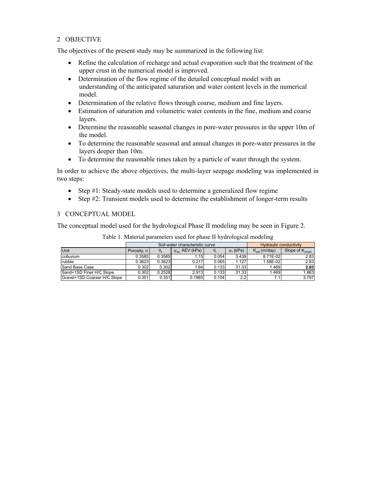# 2 OBJECTIVE

The objectives of the present study may be summarized in the following list:

- Refine the calculation of recharge and actual evaporation such that the treatment of the upper crust in the numerical model is improved.
- Determination of the flow regime of the detailed conceptual model with an understanding of the anticipated saturation and water content levels in the numerical model.
- Determination of the relative flows through coarse, medium and fine layers.
- Estimation of saturation and volumetric water contents in the fine, medium and coarse layers.
- $\bullet$  Determine the reasonable seasonal changes in pore-water pressures in the upper 10m of the model.
- To determine the reasonable seasonal and annual changes in pore-water pressures in the layers deeper than 10m.
- To determine the reasonable times taken by a particle of water through the system.

In order to achieve the above objectives, the multi-layer seepage modeling was implemented in two steps:

- $\bullet$  Step #1: Steady-state models used to determine a generalized flow regime
- $\bullet$  Step #2: Transient models used to determine the establishment of longer-term results

#### 3 CONCEPTUAL MODEL

The conceptual model used for the hydrological Phase II modeling may be seen in [Figure 2.](#page-2-0)

|                              |             |                  | Soil-water characteristic curve | <b>Hydraulic conductivity</b> |                |                          |                             |
|------------------------------|-------------|------------------|---------------------------------|-------------------------------|----------------|--------------------------|-----------------------------|
| Unit                         | Porosity, n | $\theta_{\rm s}$ | $\psi_{ae}$ AEV (kPa)           | $\theta$                      | $\psi_r$ (kPa) | $K_{\text{sat}}$ (m/day) | Slope of K <sub>unsat</sub> |
| colluvium                    | 0.3585      | 0.3585           | 1.15                            | 0.054                         | 3.439          | 8.71E-02                 | 2.83                        |
| rubble                       | 0.36231     | 0.3623           | 0.217                           | 0.065                         | 1.127          | 1.58E-02                 | 2.83                        |
| Sand Base Case               | 0.302       | 0.302            | 1.64                            | 0.133                         | 31.33          | 1.469                    | 2.83                        |
| Sand+1SD Finer H/C Slope     | 0.302       | 0.2528           | 2.913                           | 0.133                         | 31.33          | 1.469                    | 1.863                       |
| Gravel+1SD Coarser H/C Slope | 0.351       | 0.351            | 0.1985                          | 0.104                         | 2.21           |                          | 3.797                       |

Table 1. Material parameters used for phase II hydrological modeling

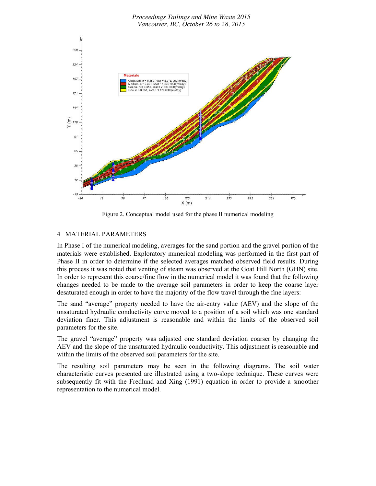

Figure 2. Conceptual model used for the phase II numerical modeling

# <span id="page-2-0"></span>4 MATERIAL PARAMETERS

In Phase I of the numerical modeling, averages for the sand portion and the gravel portion of the materials were established. Exploratory numerical modeling was performed in the first part of Phase II in order to determine if the selected averages matched observed field results. During this process it was noted that venting of steam was observed at the Goat Hill North (GHN) site. In order to represent this coarse/fine flow in the numerical model it was found that the following changes needed to be made to the average soil parameters in order to keep the coarse layer desaturated enough in order to have the majority of the flow travel through the fine layers:

The sand "average" property needed to have the air-entry value (AEV) and the slope of the unsaturated hydraulic conductivity curve moved to a position of a soil which was one standard deviation finer. This adjustment is reasonable and within the limits of the observed soil parameters for the site.

The gravel "average" property was adjusted one standard deviation coarser by changing the AEV and the slope of the unsaturated hydraulic conductivity. This adjustment is reasonable and within the limits of the observed soil parameters for the site.

The resulting soil parameters may be seen in the following diagrams. The soil water characteristic curves presented are illustrated using a two-slope technique. These curves were subsequently fit with the Fredlund and Xing (1991) equation in order to provide a smoother representation to the numerical model.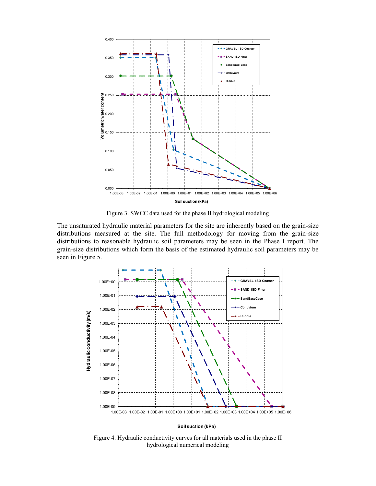

Figure 3. SWCC data used for the phase II hydrological modeling

The unsaturated hydraulic material parameters for the site are inherently based on the grain-size distributions measured at the site. The full methodology for moving from the grain-size distributions to reasonable hydraulic soil parameters may be seen in the Phase I report. The grain-size distributions which form the basis of the estimated hydraulic soil parameters may be seen in [Figure 5.](#page-4-0)



#### **Soil suction (kPa)**

Figure 4. Hydraulic conductivity curves for all materials used in the phase II hydrological numerical modeling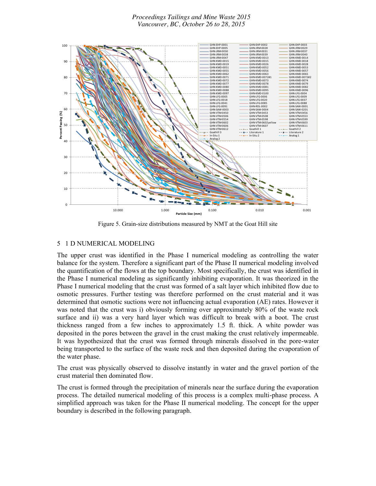

Figure 5. Grain-size distributions measured by NMT at the Goat Hill site

## <span id="page-4-0"></span>5 1 D NUMERICAL MODELING

The upper crust was identified in the Phase I numerical modeling as controlling the water balance for the system. Therefore a significant part of the Phase II numerical modeling involved the quantification of the flows at the top boundary. Most specifically, the crust was identified in the Phase I numerical modeling as significantly inhibiting evaporation. It was theorized in the Phase I numerical modeling that the crust was formed of a salt layer which inhibited flow due to osmotic pressures. Further testing was therefore performed on the crust material and it was determined that osmotic suctions were not influencing actual evaporation (AE) rates. However it was noted that the crust was i) obviously forming over approximately 80% of the waste rock surface and ii) was a very hard layer which was difficult to break with a boot. The crust thickness ranged from a few inches to approximately 1.5 ft. thick. A white powder was deposited in the pores between the gravel in the crust making the crust relatively impermeable. It was hypothesized that the crust was formed through minerals dissolved in the pore-water being transported to the surface of the waste rock and then deposited during the evaporation of the water phase.

The crust was physically observed to dissolve instantly in water and the gravel portion of the crust material then dominated flow.

The crust is formed through the precipitation of minerals near the surface during the evaporation process. The detailed numerical modeling of this process is a complex multi-phase process. A simplified approach was taken for the Phase II numerical modeling. The concept for the upper boundary is described in the following paragraph.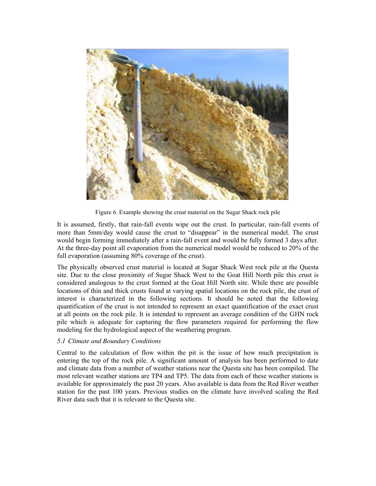

Figure 6. Example showing the crust material on the Sugar Shack rock pile

It is assumed, firstly, that rain-fall events wipe out the crust. In particular, rain-fall events of more than 5mm/day would cause the crust to "disappear" in the numerical model. The crust would begin forming immediately after a rain-fall event and would be fully formed 3 days after. At the three-day point all evaporation from the numerical model would be reduced to 20% of the full evaporation (assuming 80% coverage of the crust).

The physically observed crust material is located at Sugar Shack West rock pile at the Questa site. Due to the close proximity of Sugar Shack West to the Goat Hill North pile this crust is considered analogous to the crust formed at the Goat Hill North site. While there are possible locations of thin and thick crusts found at varying spatial locations on the rock pile, the crust of interest is characterized in the following sections. It should be noted that the following quantification of the crust is not intended to represent an exact quantification of the exact crust at all points on the rock pile. It is intended to represent an average condition of the GHN rock pile which is adequate for capturing the flow parameters required for performing the flow modeling for the hydrological aspect of the weathering program.

# *5.1 Climate and Boundary Conditions*

<span id="page-5-0"></span>Central to the calculation of flow within the pit is the issue of how much precipitation is entering the top of the rock pile. A significant amount of analysis has been performed to date and climate data from a number of weather stations near the Questa site has been compiled. The most relevant weather stations are TP4 and TP5. The data from each of these weather stations is available for approximately the past 20 years. Also available is data from the Red River weather station for the past 100 years. Previous studies on the climate have involved scaling the Red River data such that it is relevant to the Questa site.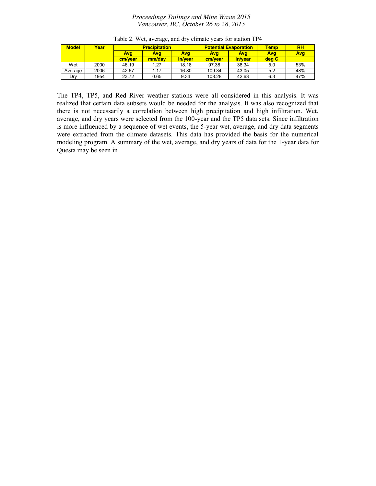| <b>Model</b> | Year |            | <b>Precipitation</b> |         |                          | <b>Potential Evaporation</b> | Temp       | <b>RH</b> |
|--------------|------|------------|----------------------|---------|--------------------------|------------------------------|------------|-----------|
|              |      | <b>Avq</b> | Avq<br>Ava           |         | <b>Avq</b><br><b>Avq</b> |                              | <b>Avg</b> | Avg       |
|              |      | cm/vear    | mm/dav               | in/vear | cm/vear                  | in/vear                      | deg C      |           |
| Wet          | 2000 | 46.19      | 1.27                 | 18.18   | 97.38                    | 38.34                        | 5.0        | 53%       |
| Average      | 2006 | 42.67      | 1.17                 | 16.80   | 109.34                   | 43.05                        | 5.2        | 48%       |
| Drv          | 1954 | 23.72      | 0.65                 | 9.34    | 108.28                   | 42.63                        | 6.3        | 47%       |

The TP4, TP5, and Red River weather stations were all considered in this analysis. It was realized that certain data subsets would be needed for the analysis. It was also recognized that there is not necessarily a correlation between high precipitation and high infiltration. Wet, average, and dry years were selected from the 100-year and the TP5 data sets. Since infiltration is more influenced by a sequence of wet events, the 5-year wet, average, and dry data segments were extracted from the climate datasets. This data has provided the basis for the numerical modeling program. A summary of the wet, average, and dry years of data for the 1-year data for Questa may be seen in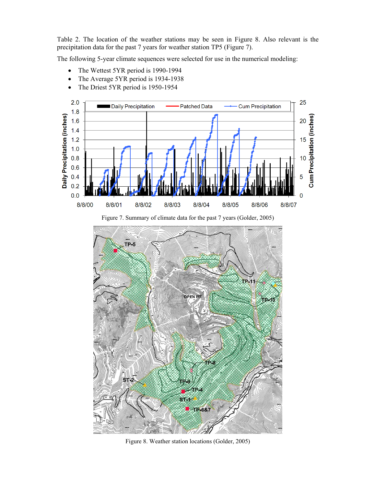[Table 2.](#page-5-0) The location of the weather stations may be seen in [Figure 8.](#page-7-0) Also relevant is the precipitation data for the past 7 years for weather station TP5 [\(Figure 7\)](#page-7-1).

The following 5-year climate sequences were selected for use in the numerical modeling:

- The Wettest 5YR period is 1990-1994
- The Average 5YR period is 1934-1938
- The Driest 5YR period is 1950-1954



Figure 7. Summary of climate data for the past 7 years (Golder, 2005)

<span id="page-7-1"></span>

<span id="page-7-0"></span>Figure 8. Weather station locations (Golder, 2005)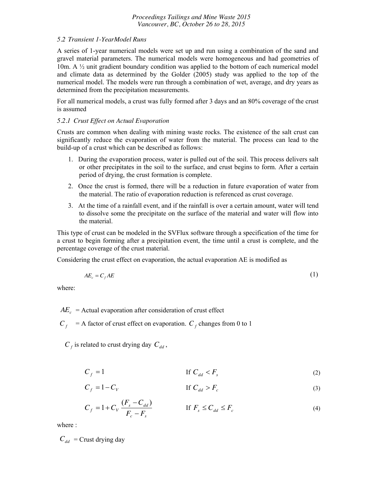#### *5.2 Transient 1-YearModel Runs*

A series of 1-year numerical models were set up and run using a combination of the sand and gravel material parameters. The numerical models were homogeneous and had geometries of 10m. A  $\frac{1}{2}$  unit gradient boundary condition was applied to the bottom of each numerical model and climate data as determined by the Golder (2005) study was applied to the top of the numerical model. The models were run through a combination of wet, average, and dry years as determined from the precipitation measurements.

For all numerical models, a crust was fully formed after 3 days and an 80% coverage of the crust is assumed

### *5.2.1 Crust Effect on Actual Evaporation*

Crusts are common when dealing with mining waste rocks. The existence of the salt crust can significantly reduce the evaporation of water from the material. The process can lead to the build-up of a crust which can be described as follows:

- 1. During the evaporation process, water is pulled out of the soil. This process delivers salt or other precipitates in the soil to the surface, and crust begins to form. After a certain period of drying, the crust formation is complete.
- 2. Once the crust is formed, there will be a reduction in future evaporation of water from the material. The ratio of evaporation reduction is referenced as crust coverage.
- 3. At the time of a rainfall event, and if the rainfall is over a certain amount, water will tend to dissolve some the precipitate on the surface of the material and water will flow into the material.

This type of crust can be modeled in the SVFlux software through a specification of the time for a crust to begin forming after a precipitation event, the time until a crust is complete, and the percentage coverage of the crust material.

Considering the crust effect on evaporation, the actual evaporation AE is modified as

$$
AE_c = C_f AE \tag{1}
$$

where:

 $AE_c$  = Actual evaporation after consideration of crust effect

 $C_f$  = A factor of crust effect on evaporation.  $C_f$  changes from 0 to 1

 $C_f$  is related to crust drying day  $C_{dd}$ ,

$$
C_f = 1
$$
 If  $C_{dd} < F_s$  (2)

$$
C_f = 1 - C_V \qquad \qquad \text{If } C_{dd} > F_c \tag{3}
$$

$$
C_f = 1 + C_V \frac{(F_s - C_{dd})}{F_c - F_s} \qquad \text{If } F_s \le C_{dd} \le F_c \tag{4}
$$

where  $\cdot$ 

 $C_{dd}$  = Crust drying day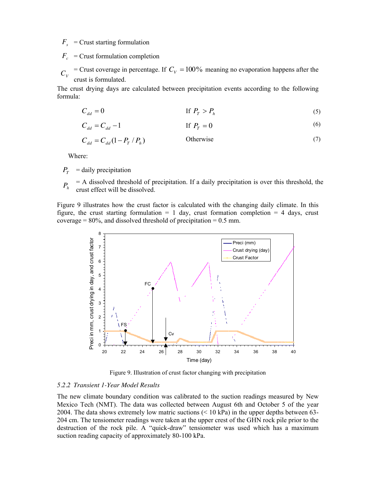$F<sub>s</sub>$  = Crust starting formulation

 $F_c$  = Crust formulation completion

 $C_V$ = Crust coverage in percentage. If  $C_V = 100\%$  meaning no evaporation happens after the crust is formulated.

The crust drying days are calculated between precipitation events according to the following formula:

$$
C_{dd} = 0 \t\t \text{If } P_T > P_h \t\t(5)
$$

$$
C_{dd} = C_{dd} - 1 \tag{6}
$$

$$
C_{dd} = C_{dd} (1 - P_T / P_h)
$$
 Otherwise (7)

Where:

 $P_T$  = daily precipitation

 $P<sub>h</sub>$ = A dissolved threshold of precipitation. If a daily precipitation is over this threshold, the crust effect will be dissolved.

[Figure 9](#page-9-0) illustrates how the crust factor is calculated with the changing daily climate. In this figure, the crust starting formulation  $= 1$  day, crust formation completion  $= 4$  days, crust coverage  $= 80\%$ , and dissolved threshold of precipitation  $= 0.5$  mm.



Figure 9. Illustration of crust factor changing with precipitation

#### <span id="page-9-0"></span>*5.2.2 Transient 1-Year Model Results*

The new climate boundary condition was calibrated to the suction readings measured by New Mexico Tech (NMT). The data was collected between August 6th and October 5 of the year 2004. The data shows extremely low matric suctions (< 10 kPa) in the upper depths between 63- 204 cm. The tensiometer readings were taken at the upper crest of the GHN rock pile prior to the destruction of the rock pile. A "quick-draw" tensiometer was used which has a maximum suction reading capacity of approximately 80-100 kPa.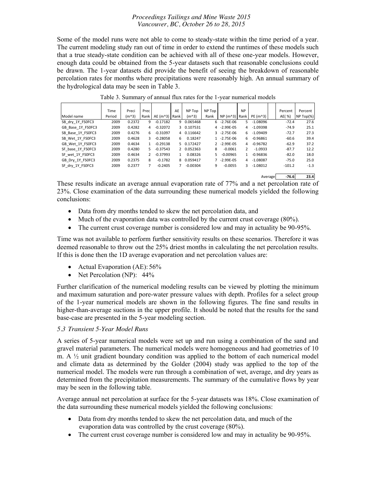Some of the model runs were not able to come to steady-state within the time period of a year. The current modeling study ran out of time in order to extend the runtimes of these models such that a true steady-state condition can be achieved with all of these one-year models. However, enough data could be obtained from the 5-year datasets such that reasonable conclusions could be drawn. The 1-year datasets did provide the benefit of seeing the breakdown of reasonable percolation rates for months where precipitations were reasonably high. An annual summary of the hydrological data may be seen in [Table 3.](#page-10-0)

<span id="page-10-0"></span>

|                   | Time   | Preci             | Prec I         |            | AE   | NP Top            | NP Top |                  | <b>NP</b>    |            |                     | Percent  | Percent   |
|-------------------|--------|-------------------|----------------|------------|------|-------------------|--------|------------------|--------------|------------|---------------------|----------|-----------|
| Model name        | Period | (m <sup>2</sup> ) | Rank           | $AE(m^3)$  | Rank | (m <sub>3</sub> ) | Rank   | $NP(m^3)$ Rank   |              | PE (m^3)   |                     | AE(%)    | NP Top(%) |
| SB dry 1Y FS0FC3  | 2009   | 0.2372            | 9              | $-0.17182$ | 9    | 0.065468          |        | $6 - 2.76E - 06$ | 5.           | $-1.08096$ |                     | $-72.4$  | 27.6      |
| GB Base 1Y FSOFC3 | 2009   | 0.4282            | 4              | $-0.32072$ | 3    | 0.107531          |        | 4 -2.99E-05      | 4            | $-1.09398$ |                     | $-74.9$  | 25.1      |
| SB Base 1Y FSOFC3 | 2009   | 0.4276            | 6              | $-0.31097$ |      | 4 0.116642        |        | 3 - 2.75E-06     | 6            | $-1.09409$ |                     | $-72.7$  | 27.3      |
| SB Wet 1Y FSOFC3  | 2009   | 0.4628            | 3              | $-0.28058$ | 6    | 0.18247           |        | 1 -2.75E-06      | 6            | $-0.96861$ |                     | $-60.6$  | 39.4      |
| GB Wet 1Y FSOFC3  | 2009   | 0.4634            | $\mathbf{1}$   | $-0.29138$ |      | 5 0.172427        |        | 2 -2.99E-05      | 4            | $-0.96782$ |                     | $-62.9$  | 37.2      |
| SF base 1Y FSOFC3 | 2009   | 0.4280            | 5.             | $-0.37543$ |      | 2 0.052363        | 8      | $-0.0061$        | 2            | $-1.0933$  |                     | $-87.7$  | 12.2      |
| SF wet 1Y FSOFC3  | 2009   | 0.4634            | $\overline{2}$ | $-0.37993$ | 1    | 0.08326           | 5.     | $-0.00965$       | $\mathbf{1}$ | $-0.96836$ |                     | $-82.0$  | 18.0      |
| GB Dry 1Y FS0FC3  | 2009   | 0.2375            | 8              | $-0.1782$  | 8    | 0.059417          |        | $-2.99E - 05$    | 4            | $-1.08087$ |                     | $-75.0$  | 25.0      |
| SF dry 1Y FSOFC3  | 2009   | 0.2377            | $\overline{7}$ | $-0.2405$  |      | $-0.00304$        | 9      | $-0.0055$        | 3            | $-1.08012$ |                     | $-101.2$ | $-1.3$    |
|                   |        |                   |                |            |      |                   |        |                  |              |            | $A - 1 - 1 - 1 - 1$ | $7c$ cl  | 22d       |

Table 3. Summary of annual flux rates for the 1-year numerical models

Average **-76.6 23.4**

These results indicate an average annual evaporation rate of 77% and a net percolation rate of 23%. Close examination of the data surrounding these numerical models yielded the following conclusions:

- Data from dry months tended to skew the net percolation data, and
- Much of the evaporation data was controlled by the current crust coverage  $(80\%)$ .
- $\bullet$  The current crust coverage number is considered low and may in actuality be 90-95%.

Time was not available to perform further sensitivity results on these scenarios. Therefore it was deemed reasonable to throw out the 25% driest months in calculating the net percolation results. If this is done then the 1D average evaporation and net percolation values are:

- Actual Evaporation (AE):  $56\%$
- Net Percolation (NP):  $44\%$

Further clarification of the numerical modeling results can be viewed by plotting the minimum and maximum saturation and pore-water pressure values with depth. Profiles for a select group of the 1-year numerical models are shown in the following figures. The fine sand results in higher-than-average suctions in the upper profile. It should be noted that the results for the sand base-case are presented in the 5-year modeling section.

# *5.3 Transient 5-Year Model Runs*

A series of 5-year numerical models were set up and run using a combination of the sand and gravel material parameters. The numerical models were homogeneous and had geometries of 10 m. A  $\frac{1}{2}$  unit gradient boundary condition was applied to the bottom of each numerical model and climate data as determined by the Golder (2004) study was applied to the top of the numerical model. The models were run through a combination of wet, average, and dry years as determined from the precipitation measurements. The summary of the cumulative flows by year may be seen in the following table.

Average annual net percolation at surface for the 5-year datasets was 18%. Close examination of the data surrounding these numerical models yielded the following conclusions:

- Data from dry months tended to skew the net percolation data, and much of the evaporation data was controlled by the crust coverage (80%).
- $\bullet$  The current crust coverage number is considered low and may in actuality be 90-95%.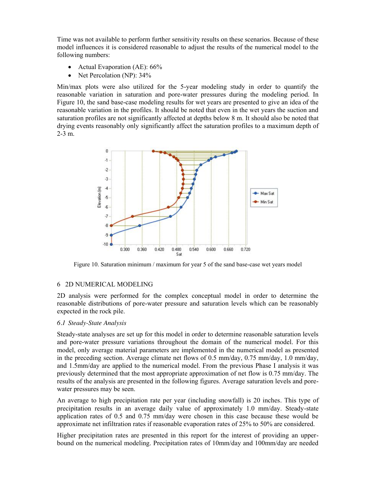Time was not available to perform further sensitivity results on these scenarios. Because of these model influences it is considered reasonable to adjust the results of the numerical model to the following numbers:

- Actual Evaporation (AE): 66%
- Net Percolation (NP):  $34\%$

Min/max plots were also utilized for the 5-year modeling study in order to quantify the reasonable variation in saturation and pore-water pressures during the modeling period. In [Figure 10,](#page-11-0) the sand base-case modeling results for wet years are presented to give an idea of the reasonable variation in the profiles. It should be noted that even in the wet years the suction and saturation profiles are not significantly affected at depths below 8 m. It should also be noted that drying events reasonably only significantly affect the saturation profiles to a maximum depth of 2-3 m.



<span id="page-11-0"></span>Figure 10. Saturation minimum / maximum for year 5 of the sand base-case wet years model

# 6 2D NUMERICAL MODELING

2D analysis were performed for the complex conceptual model in order to determine the reasonable distributions of pore-water pressure and saturation levels which can be reasonably expected in the rock pile.

# *6.1 Steady-State Analysis*

Steady-state analyses are set up for this model in order to determine reasonable saturation levels and pore-water pressure variations throughout the domain of the numerical model. For this model, only average material parameters are implemented in the numerical model as presented in the preceding section. Average climate net flows of 0.5 mm/day, 0.75 mm/day, 1.0 mm/day, and 1.5mm/day are applied to the numerical model. From the previous Phase I analysis it was previously determined that the most appropriate approximation of net flow is 0.75 mm/day. The results of the analysis are presented in the following figures. Average saturation levels and porewater pressures may be seen.

An average to high precipitation rate per year (including snowfall) is 20 inches. This type of precipitation results in an average daily value of approximately 1.0 mm/day. Steady-state application rates of 0.5 and 0.75 mm/day were chosen in this case because these would be approximate net infiltration rates if reasonable evaporation rates of 25% to 50% are considered.

Higher precipitation rates are presented in this report for the interest of providing an upperbound on the numerical modeling. Precipitation rates of 10mm/day and 100mm/day are needed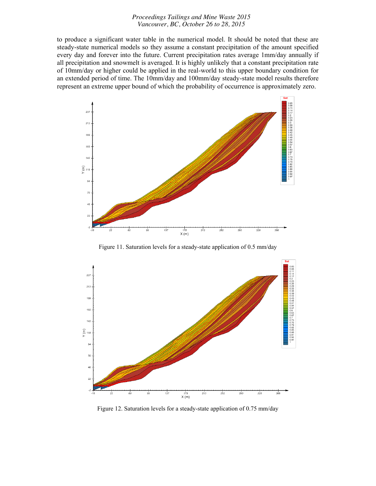to produce a significant water table in the numerical model. It should be noted that these are steady-state numerical models so they assume a constant precipitation of the amount specified every day and forever into the future. Current precipitation rates average 1mm/day annually if all precipitation and snowmelt is averaged. It is highly unlikely that a constant precipitation rate of 10mm/day or higher could be applied in the real-world to this upper boundary condition for an extended period of time. The 10mm/day and 100mm/day steady-state model results therefore represent an extreme upper bound of which the probability of occurrence is approximately zero.



Figure 11. Saturation levels for a steady-state application of 0.5 mm/day



Figure 12. Saturation levels for a steady-state application of 0.75 mm/day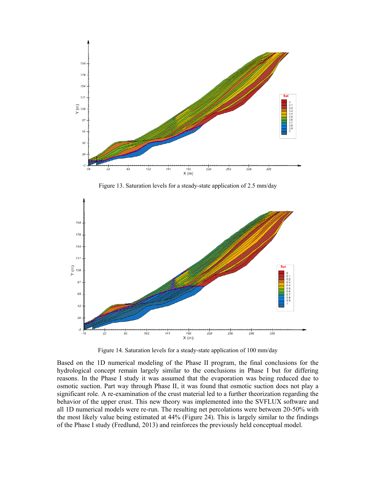

Figure 13. Saturation levels for a steady-state application of 2.5 mm/day



Figure 14. Saturation levels for a steady-state application of 100 mm/day

Based on the 1D numerical modeling of the Phase II program, the final conclusions for the hydrological concept remain largely similar to the conclusions in Phase I but for differing reasons. In the Phase I study it was assumed that the evaporation was being reduced due to osmotic suction. Part way through Phase II, it was found that osmotic suction does not play a significant role. A re-examination of the crust material led to a further theorization regarding the behavior of the upper crust. This new theory was implemented into the SVFLUX software and all 1D numerical models were re-run. The resulting net percolations were between 20-50% with the most likely value being estimated at 44% (Figure 24). This is largely similar to the findings of the Phase I study (Fredlund, 2013) and reinforces the previously held conceptual model.